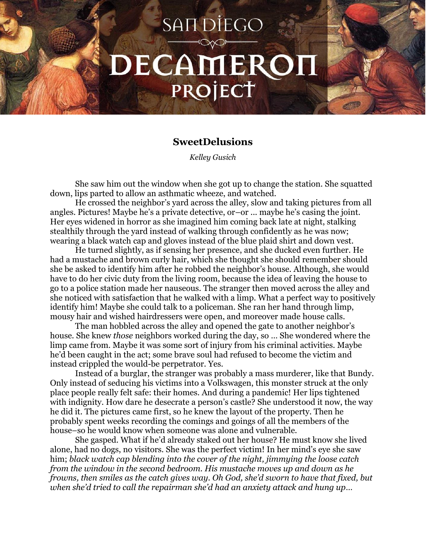## **SANDIEGO** DECAMEROH PROJECT

## **SweetDelusions**

*Kelley Gusich*

She saw him out the window when she got up to change the station. She squatted down, lips parted to allow an asthmatic wheeze, and watched.

He crossed the neighbor's yard across the alley, slow and taking pictures from all angles. Pictures! Maybe he's a private detective, or–or ... maybe he's casing the joint. Her eyes widened in horror as she imagined him coming back late at night, stalking stealthily through the yard instead of walking through confidently as he was now; wearing a black watch cap and gloves instead of the blue plaid shirt and down vest.

He turned slightly, as if sensing her presence, and she ducked even further. He had a mustache and brown curly hair, which she thought she should remember should she be asked to identify him after he robbed the neighbor's house. Although, she would have to do her civic duty from the living room, because the idea of leaving the house to go to a police station made her nauseous. The stranger then moved across the alley and she noticed with satisfaction that he walked with a limp. What a perfect way to positively identify him! Maybe she could talk to a policeman. She ran her hand through limp, mousy hair and wished hairdressers were open, and moreover made house calls.

The man hobbled across the alley and opened the gate to another neighbor's house. She knew *those* neighbors worked during the day, so … She wondered where the limp came from. Maybe it was some sort of injury from his criminal activities. Maybe he'd been caught in the act; some brave soul had refused to become the victim and instead crippled the would-be perpetrator. Yes.

Instead of a burglar, the stranger was probably a mass murderer, like that Bundy. Only instead of seducing his victims into a Volkswagen, this monster struck at the only place people really felt safe: their homes. And during a pandemic! Her lips tightened with indignity. How dare he desecrate a person's castle? She understood it now, the way he did it. The pictures came first, so he knew the layout of the property. Then he probably spent weeks recording the comings and goings of all the members of the house–so he would know when someone was alone and vulnerable.

She gasped. What if he'd already staked out her house? He must know she lived alone, had no dogs, no visitors. She was the perfect victim! In her mind's eye she saw him; *black watch cap blending into the cover of the night, jimmying the loose catch from the window in the second bedroom. His mustache moves up and down as he frowns, then smiles as the catch gives way. Oh God, she'd sworn to have that fixed, but when she'd tried to call the repairman she'd had an anxiety attack and hung up…*